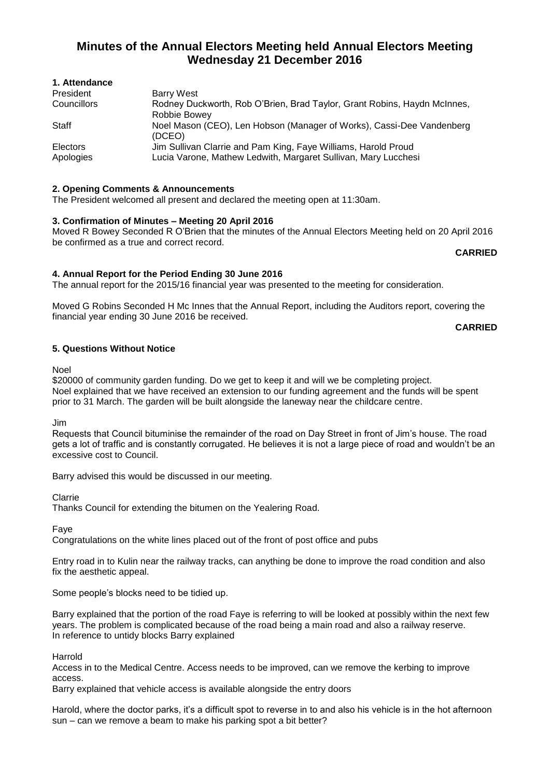# **Minutes of the Annual Electors Meeting held Annual Electors Meeting Wednesday 21 December 2016**

| <b>1. AllCHUAHUG</b> |                                                                          |
|----------------------|--------------------------------------------------------------------------|
| President            | Barry West                                                               |
| Councillors          | Rodney Duckworth, Rob O'Brien, Brad Taylor, Grant Robins, Haydn McInnes, |
|                      | Robbie Bowey                                                             |
| Staff                | Noel Mason (CEO), Len Hobson (Manager of Works), Cassi-Dee Vandenberg    |
|                      | (DCEO)                                                                   |
| Electors             | Jim Sullivan Clarrie and Pam King, Faye Williams, Harold Proud           |
| Apologies            | Lucia Varone, Mathew Ledwith, Margaret Sullivan, Mary Lucchesi           |
|                      |                                                                          |

## **2. Opening Comments & Announcements**

The President welcomed all present and declared the meeting open at 11:30am.

#### **3. Confirmation of Minutes – Meeting 20 April 2016**

Moved R Bowey Seconded R O'Brien that the minutes of the Annual Electors Meeting held on 20 April 2016 be confirmed as a true and correct record.

**CARRIED**

# **4. Annual Report for the Period Ending 30 June 2016**

The annual report for the 2015/16 financial year was presented to the meeting for consideration.

Moved G Robins Seconded H Mc Innes that the Annual Report, including the Auditors report, covering the financial year ending 30 June 2016 be received.

**CARRIED**

#### **5. Questions Without Notice**

Noel

**1. Attendance**

\$20000 of community garden funding. Do we get to keep it and will we be completing project. Noel explained that we have received an extension to our funding agreement and the funds will be spent prior to 31 March. The garden will be built alongside the laneway near the childcare centre.

Jim

Requests that Council bituminise the remainder of the road on Day Street in front of Jim's house. The road gets a lot of traffic and is constantly corrugated. He believes it is not a large piece of road and wouldn't be an excessive cost to Council.

Barry advised this would be discussed in our meeting.

Clarrie

Thanks Council for extending the bitumen on the Yealering Road.

Faye

Congratulations on the white lines placed out of the front of post office and pubs

Entry road in to Kulin near the railway tracks, can anything be done to improve the road condition and also fix the aesthetic appeal.

Some people's blocks need to be tidied up.

Barry explained that the portion of the road Faye is referring to will be looked at possibly within the next few years. The problem is complicated because of the road being a main road and also a railway reserve. In reference to untidy blocks Barry explained

Harrold

Access in to the Medical Centre. Access needs to be improved, can we remove the kerbing to improve access.

Barry explained that vehicle access is available alongside the entry doors

Harold, where the doctor parks, it's a difficult spot to reverse in to and also his vehicle is in the hot afternoon sun – can we remove a beam to make his parking spot a bit better?